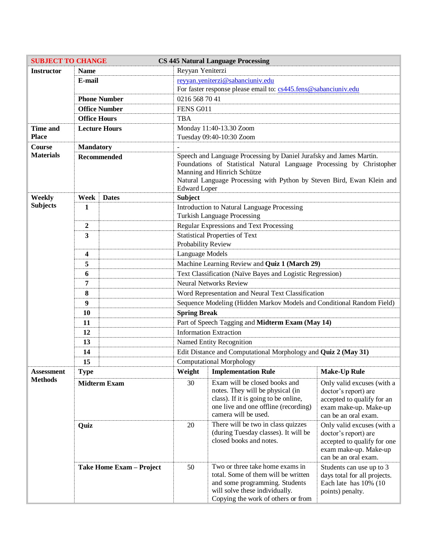| <b>SUBJECT TO CHANGE</b> |                          |  | <b>CS 445 Natural Language Processing</b>                                                                                                                                                                                                                                    |                                                                                                                                                                                  |                                                                                                                                    |
|--------------------------|--------------------------|--|------------------------------------------------------------------------------------------------------------------------------------------------------------------------------------------------------------------------------------------------------------------------------|----------------------------------------------------------------------------------------------------------------------------------------------------------------------------------|------------------------------------------------------------------------------------------------------------------------------------|
| <b>Instructor</b>        | <b>Name</b>              |  | Reyyan Yeniterzi                                                                                                                                                                                                                                                             |                                                                                                                                                                                  |                                                                                                                                    |
|                          | E-mail                   |  | reyyan.yeniterzi@sabanciuniv.edu                                                                                                                                                                                                                                             |                                                                                                                                                                                  |                                                                                                                                    |
|                          |                          |  | For faster response please email to: cs445.fens@sabanciuniv.edu                                                                                                                                                                                                              |                                                                                                                                                                                  |                                                                                                                                    |
|                          | <b>Phone Number</b>      |  | 0216 568 70 41                                                                                                                                                                                                                                                               |                                                                                                                                                                                  |                                                                                                                                    |
|                          | <b>Office Number</b>     |  | FENS G011                                                                                                                                                                                                                                                                    |                                                                                                                                                                                  |                                                                                                                                    |
|                          | <b>Office Hours</b>      |  | <b>TBA</b>                                                                                                                                                                                                                                                                   |                                                                                                                                                                                  |                                                                                                                                    |
| <b>Time and</b>          | <b>Lecture Hours</b>     |  | Monday 11:40-13.30 Zoom                                                                                                                                                                                                                                                      |                                                                                                                                                                                  |                                                                                                                                    |
| <b>Place</b>             |                          |  | Tuesday 09:40-10:30 Zoom                                                                                                                                                                                                                                                     |                                                                                                                                                                                  |                                                                                                                                    |
| Course                   | <b>Mandatory</b>         |  |                                                                                                                                                                                                                                                                              |                                                                                                                                                                                  |                                                                                                                                    |
| <b>Materials</b>         | <b>Recommended</b>       |  | Speech and Language Processing by Daniel Jurafsky and James Martin.<br>Foundations of Statistical Natural Language Processing by Christopher<br>Manning and Hinrich Schütze<br>Natural Language Processing with Python by Steven Bird, Ewan Klein and<br><b>Edward</b> Loper |                                                                                                                                                                                  |                                                                                                                                    |
| Weekly                   | Week<br><b>Dates</b>     |  | <b>Subject</b>                                                                                                                                                                                                                                                               |                                                                                                                                                                                  |                                                                                                                                    |
| <b>Subjects</b>          | 1                        |  | Introduction to Natural Language Processing                                                                                                                                                                                                                                  |                                                                                                                                                                                  |                                                                                                                                    |
|                          |                          |  | <b>Turkish Language Processing</b>                                                                                                                                                                                                                                           |                                                                                                                                                                                  |                                                                                                                                    |
|                          | 2                        |  | Regular Expressions and Text Processing                                                                                                                                                                                                                                      |                                                                                                                                                                                  |                                                                                                                                    |
|                          | 3                        |  | <b>Statistical Properties of Text</b><br>Probability Review                                                                                                                                                                                                                  |                                                                                                                                                                                  |                                                                                                                                    |
|                          | 4                        |  | Language Models                                                                                                                                                                                                                                                              |                                                                                                                                                                                  |                                                                                                                                    |
|                          | 5                        |  | Machine Learning Review and Quiz 1 (March 29)                                                                                                                                                                                                                                |                                                                                                                                                                                  |                                                                                                                                    |
|                          | 6                        |  | Text Classification (Naïve Bayes and Logistic Regression)                                                                                                                                                                                                                    |                                                                                                                                                                                  |                                                                                                                                    |
|                          | 7                        |  | <b>Neural Networks Review</b>                                                                                                                                                                                                                                                |                                                                                                                                                                                  |                                                                                                                                    |
|                          | 8                        |  | Word Representation and Neural Text Classification                                                                                                                                                                                                                           |                                                                                                                                                                                  |                                                                                                                                    |
|                          | 9                        |  | Sequence Modeling (Hidden Markov Models and Conditional Random Field)                                                                                                                                                                                                        |                                                                                                                                                                                  |                                                                                                                                    |
|                          | 10                       |  | <b>Spring Break</b>                                                                                                                                                                                                                                                          |                                                                                                                                                                                  |                                                                                                                                    |
|                          | 11                       |  | Part of Speech Tagging and Midterm Exam (May 14)                                                                                                                                                                                                                             |                                                                                                                                                                                  |                                                                                                                                    |
|                          | 12                       |  | <b>Information Extraction</b>                                                                                                                                                                                                                                                |                                                                                                                                                                                  |                                                                                                                                    |
|                          | 13                       |  | Named Entity Recognition                                                                                                                                                                                                                                                     |                                                                                                                                                                                  |                                                                                                                                    |
|                          | 14                       |  | Edit Distance and Computational Morphology and Quiz 2 (May 31)                                                                                                                                                                                                               |                                                                                                                                                                                  |                                                                                                                                    |
|                          | 15                       |  | <b>Computational Morphology</b>                                                                                                                                                                                                                                              |                                                                                                                                                                                  |                                                                                                                                    |
| Assessment               | <b>Type</b>              |  |                                                                                                                                                                                                                                                                              | Weight   Implementation Rule                                                                                                                                                     | Make-Up Rule                                                                                                                       |
| <b>Methods</b>           | <b>Midterm Exam</b>      |  | 30                                                                                                                                                                                                                                                                           | Exam will be closed books and<br>notes. They will be physical (in<br>class). If it is going to be online,<br>one live and one offline (recording)<br>camera will be used.        | Only valid excuses (with a<br>doctor's report) are<br>accepted to qualify for an<br>exam make-up. Make-up<br>can be an oral exam.  |
|                          | Quiz                     |  | 20                                                                                                                                                                                                                                                                           | There will be two in class quizzes<br>(during Tuesday classes). It will be<br>closed books and notes.                                                                            | Only valid excuses (with a<br>doctor's report) are<br>accepted to qualify for one<br>exam make-up. Make-up<br>can be an oral exam. |
|                          | Take Home Exam - Project |  | 50                                                                                                                                                                                                                                                                           | Two or three take home exams in<br>total. Some of them will be written<br>and some programming. Students<br>will solve these individually.<br>Copying the work of others or from | Students can use up to 3<br>days total for all projects.<br>Each late has 10% (10<br>points) penalty.                              |